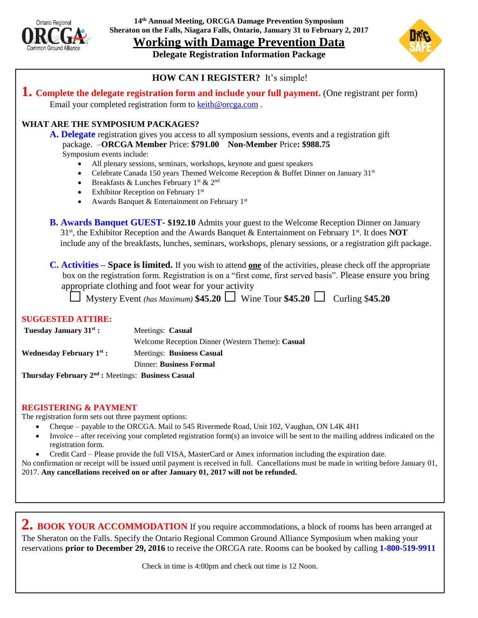

**14th Annual Meeting, ORCGA Damage Prevention Symposium Sheraton on the Falls, Niagara Falls, Ontario, January 31 to February 2, 2017**

**Working with Damage Prevention Data**

**Delegate Registration Information Package**



#### **HOW CAN I REGISTER?** It's simple!

**1. Complete the delegate registration form and include your full payment.** (One registrant per form) Email your completed registration form to [keith@orcga.com](mailto:keith@orcga.com).

#### **WHAT ARE THE SYMPOSIUM PACKAGES?**

**A. Delegate** registration gives you access to all symposium sessions, events and a registration gift package. –**ORCGA Member** Price: **\$791.00 Non-Member** Price**: \$988.75** Symposium events include:

- All plenary sessions, seminars, workshops, keynote and guest speakers
- Celebrate Canada 150 years Themed Welcome Reception & Buffet Dinner on January 31st
- Breakfasts & Lunches February  $1^{\text{st}}$  &  $2^{\text{nd}}$
- $\bullet$  Exhibitor Reception on February 1st
- Awards Banquet & Entertainment on February 1st

**B. Awards Banquet GUEST- \$192.10** Admits your guest to the Welcome Reception Dinner on January 31st , the Exhibitor Reception and the Awards Banquet & Entertainment on February 1 st . It does **NOT** include any of the breakfasts, lunches, seminars, workshops, plenary sessions, or a registration gift package.

**C. Activities – Space is limited.** If you wish to attend **one** of the activities, please check off the appropriate box on the registration form. Registration is on a "first come, first served basis". Please ensure you bring appropriate clothing and foot wear for your activity

|  | $\Box$ Mystery Event (has Maximum) \$45.20 $\Box$ Wine Tour \$45.20 $\Box$ Curling \$45.20 |  |  |  |
|--|--------------------------------------------------------------------------------------------|--|--|--|
|--|--------------------------------------------------------------------------------------------|--|--|--|

#### **SUGGESTED ATTIRE:**

| Tuesday January 31 <sup>st</sup> :   | Meetings: Casual                                 |  |  |  |
|--------------------------------------|--------------------------------------------------|--|--|--|
|                                      | Welcome Reception Dinner (Western Theme): Casual |  |  |  |
| Wednesday February 1 <sup>st</sup> : | Meetings: Business Casual                        |  |  |  |
|                                      | <b>Dinner: Business Formal</b>                   |  |  |  |
| <br>                                 |                                                  |  |  |  |

**Thursday February 2nd :** Meetings: **Business Casual**

#### **REGISTERING & PAYMENT**

The registration form sets out three payment options:

- Cheque payable to the ORCGA. Mail to 545 Rivermede Road, Unit 102, Vaughan, ON L4K 4H1
- Invoice after receiving your completed registration form(s) an invoice will be sent to the mailing address indicated on the registration form.
- Credit Card Please provide the full VISA, MasterCard or Amex information including the expiration date.

No confirmation or receipt will be issued until payment is received in full. Cancellations must be made in writing before January 01, 2017. **Any cancellations received on or after January 01, 2017 will not be refunded.**

2. **BOOK YOUR ACCOMMODATION** If you require accommodations, a block of rooms has been arranged at The Sheraton on the Falls. Specify the Ontario Regional Common Ground Alliance Symposium when making your reservations **prior to December 29, 2016** to receive the ORCGA rate. Rooms can be booked by calling **1-800-519-9911**

Check in time is 4:00pm and check out time is 12 Noon.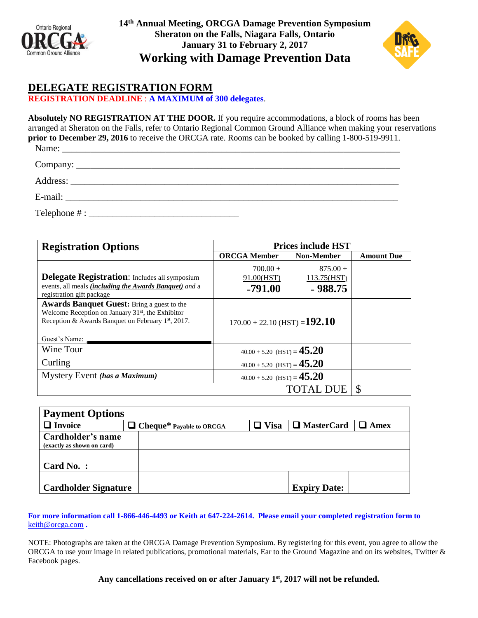

**14 th Annual Meeting, ORCGA Damage Prevention Symposium Sheraton on the Falls, Niagara Falls, Ontario January 31 to February 2, 2017 Working with Damage Prevention Data**



### **DELEGATE REGISTRATION FORM**

**REGISTRATION DEADLINE** : **A MAXIMUM of 300 delegates**.

**Absolutely NO REGISTRATION AT THE DOOR.** If you require accommodations, a block of rooms has been arranged at Sheraton on the Falls, refer to Ontario Regional Common Ground Alliance when making your reservations **prior to December 29, 2016** to receive the ORCGA rate. Rooms can be booked by calling 1-800-519-9911. Name: \_\_\_\_\_\_\_\_\_\_\_\_\_\_\_\_\_\_\_\_\_\_\_\_\_\_\_\_\_\_\_\_\_\_\_\_\_\_\_\_\_\_\_\_\_\_\_\_\_\_\_\_\_\_\_\_\_\_\_\_\_\_\_\_\_\_\_\_\_\_\_\_

Company: \_\_\_\_\_\_\_\_\_\_\_\_\_\_\_\_\_\_\_\_\_\_\_\_\_\_\_\_\_\_\_\_\_\_\_\_\_\_\_\_\_\_\_\_\_\_\_\_\_\_\_\_\_\_\_\_\_\_\_\_\_\_\_\_\_\_\_\_\_

Address:

E-mail: \_\_\_\_\_\_\_\_\_\_\_\_\_\_\_\_\_\_\_\_\_\_\_\_\_\_\_\_\_\_\_\_\_\_\_\_\_\_\_\_\_\_\_\_\_\_\_\_\_\_\_\_\_\_\_\_\_\_\_\_\_\_\_\_\_\_\_\_\_\_\_

 $\text{Telephone} \# : \Box$ 

| <b>Registration Options</b>                                                                                                                                                    | <b>Prices include HST</b>              |                                         |                   |  |
|--------------------------------------------------------------------------------------------------------------------------------------------------------------------------------|----------------------------------------|-----------------------------------------|-------------------|--|
|                                                                                                                                                                                | <b>ORCGA Member</b>                    | <b>Non-Member</b>                       | <b>Amount Due</b> |  |
| <b>Delegate Registration:</b> Includes all symposium<br>events, all meals <i>(including the Awards Banquet)</i> and a<br>registration gift package                             | $700.00 +$<br>91.00(HST)<br>$= 791.00$ | $875.00 +$<br>113.75(HST)<br>$= 988.75$ |                   |  |
| <b>Awards Banquet Guest:</b> Bring a guest to the<br>Welcome Reception on January $31st$ , the Exhibitor<br>Reception & Awards Banquet on February 1st, 2017.<br>Guest's Name: | $170.00 + 22.10$ (HST) = <b>192.10</b> |                                         |                   |  |
| Wine Tour                                                                                                                                                                      | $40.00 + 5.20$ (HST) = $45.20$         |                                         |                   |  |
| Curling                                                                                                                                                                        | $40.00 + 5.20$ (HST) = $45.20$         |                                         |                   |  |
| Mystery Event (has a Maximum)                                                                                                                                                  | $40.00 + 5.20$ (HST) = $45.20$         |                                         |                   |  |
|                                                                                                                                                                                | <sup>\$</sup>                          |                                         |                   |  |

| <b>Payment Options</b>      |  |                                 |             |                     |      |  |  |  |  |  |
|-----------------------------|--|---------------------------------|-------------|---------------------|------|--|--|--|--|--|
| $\Box$ Invoice              |  | $\Box$ Cheque* Payable to ORCGA | $\Box$ Visa | $\Box$ MasterCard   | Amex |  |  |  |  |  |
| Cardholder's name           |  |                                 |             |                     |      |  |  |  |  |  |
| (exactly as shown on card)  |  |                                 |             |                     |      |  |  |  |  |  |
|                             |  |                                 |             |                     |      |  |  |  |  |  |
| Card No.:                   |  |                                 |             |                     |      |  |  |  |  |  |
|                             |  |                                 |             |                     |      |  |  |  |  |  |
| <b>Cardholder Signature</b> |  |                                 |             | <b>Expiry Date:</b> |      |  |  |  |  |  |

**For more information call 1-866-446-4493 or Keith at 647-224-2614. Please email your completed registration form to**  [keith@orcga.com](mailto:keith@orcga.com) **.**

NOTE: Photographs are taken at the ORCGA Damage Prevention Symposium. By registering for this event, you agree to allow the ORCGA to use your image in related publications, promotional materials, Ear to the Ground Magazine and on its websites, Twitter & Facebook pages.

Any cancellations received on or after January 1<sup>st</sup>, 2017 will not be refunded.